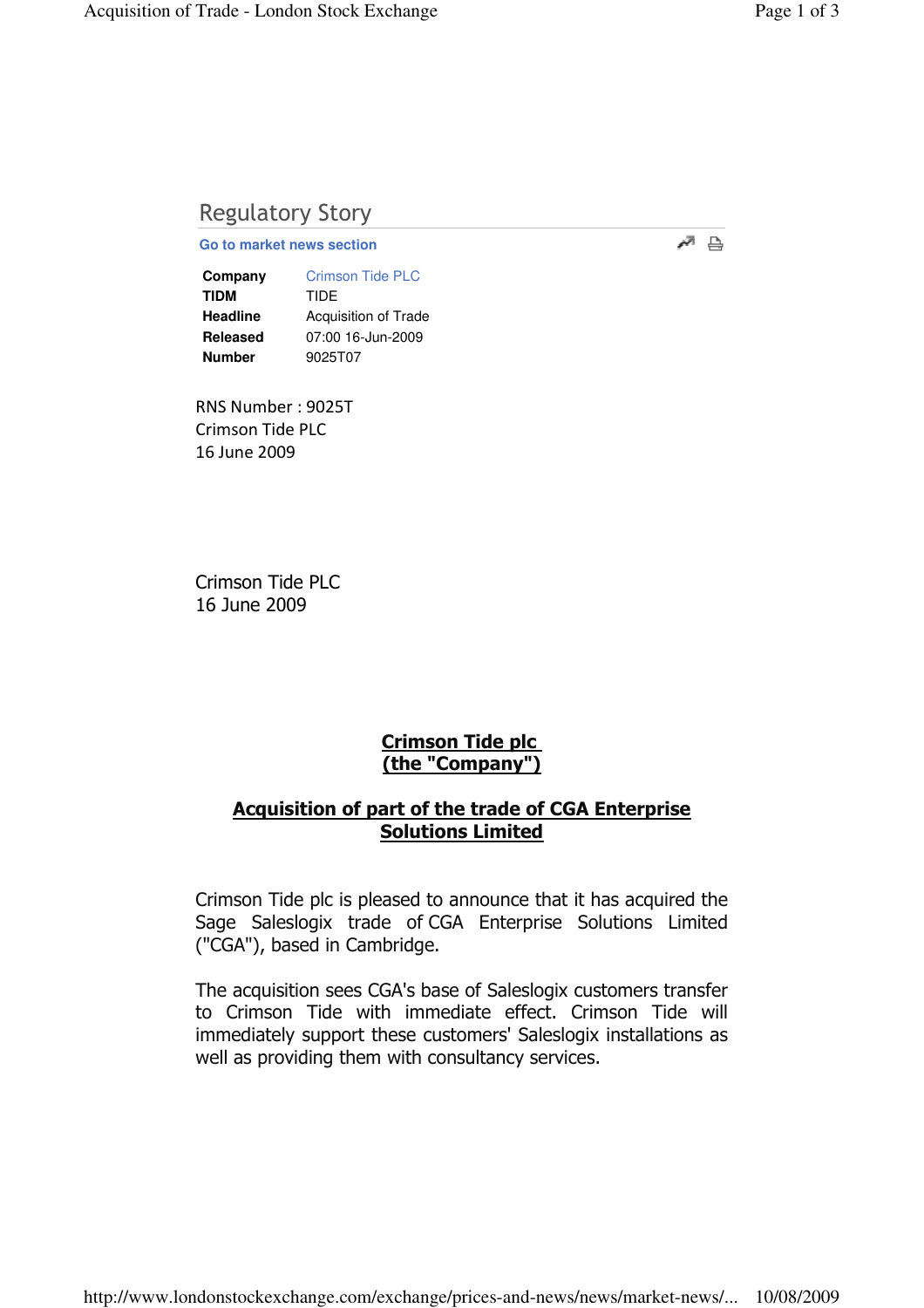# Regulatory Story

**Go to market news section**

| Company         | <b>Crimson Tide PLC</b> |
|-----------------|-------------------------|
| TIDM            | TIDF                    |
| <b>Headline</b> | Acquisition of Trade    |
| <b>Released</b> | 07:00 16-Jun-2009       |
| <b>Number</b>   | 9025T07                 |

RNS Number : 9025T Crimson Tide PLC 16 June 2009

Crimson Tide PLC 16 June 2009

## Crimson Tide plc (the "Company")

## Acquisition of part of the trade of CGA Enterprise Solutions Limited

Crimson Tide plc is pleased to announce that it has acquired the Sage Saleslogix trade of CGA Enterprise Solutions Limited ("CGA"), based in Cambridge.

The acquisition sees CGA's base of Saleslogix customers transfer to Crimson Tide with immediate effect. Crimson Tide will immediately support these customers' Saleslogix installations as well as providing them with consultancy services.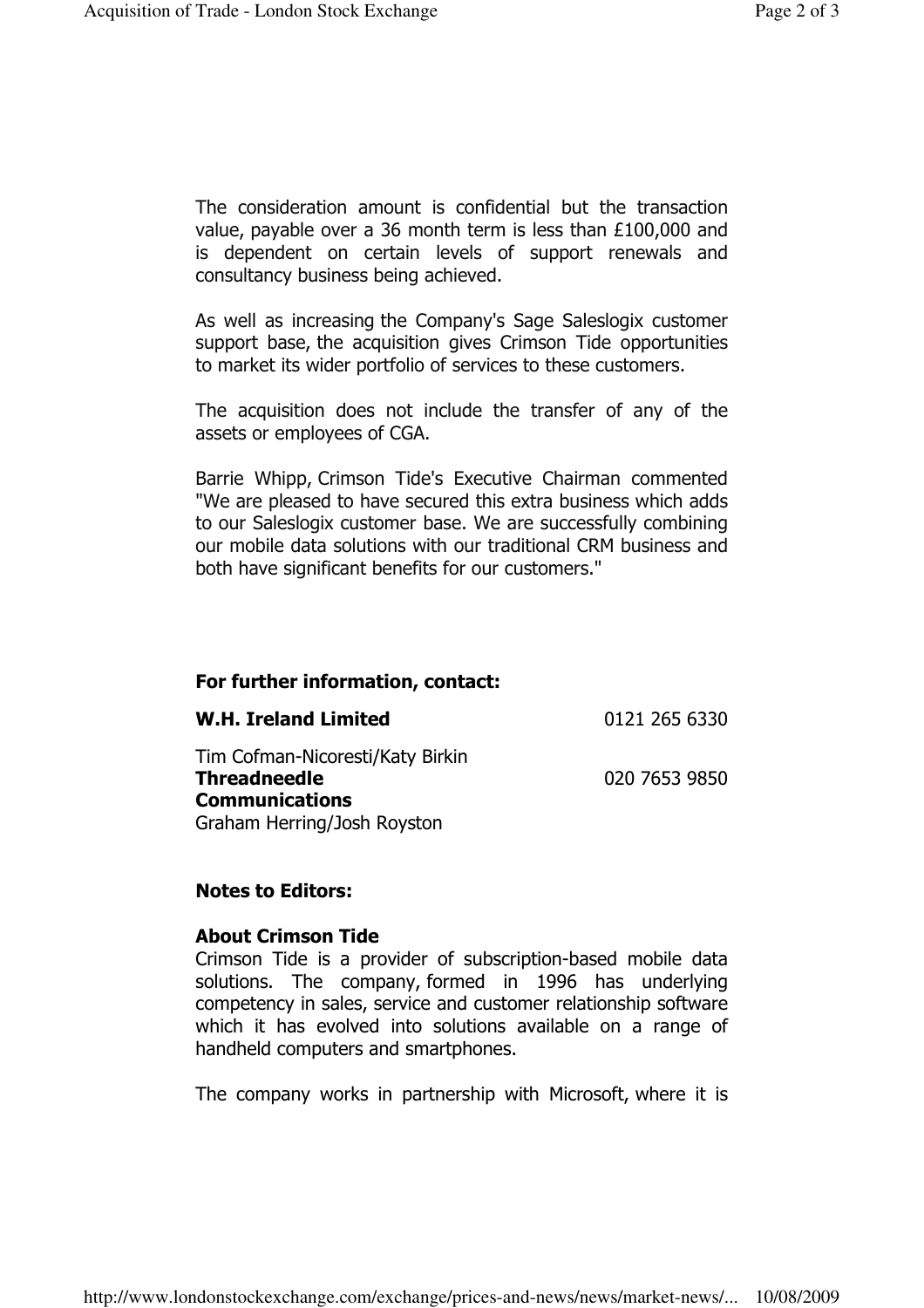The consideration amount is confidential but the transaction value, payable over a 36 month term is less than £100,000 and is dependent on certain levels of support renewals and consultancy business being achieved.

As well as increasing the Company's Sage Saleslogix customer support base, the acquisition gives Crimson Tide opportunities to market its wider portfolio of services to these customers.

The acquisition does not include the transfer of any of the assets or employees of CGA.

Barrie Whipp, Crimson Tide's Executive Chairman commented "We are pleased to have secured this extra business which adds to our Saleslogix customer base. We are successfully combining our mobile data solutions with our traditional CRM business and both have significant benefits for our customers."

### For further information, contact:

#### W.H. Ireland Limited

0121 265 6330

Tim Cofman-Nicoresti/Katy Birkin **Threadneedle** Communications Graham Herring/Josh Royston

020 7653 9850

#### Notes to Editors:

### About Crimson Tide

Crimson Tide is a provider of subscription-based mobile data solutions. The company, formed in 1996 has underlying competency in sales, service and customer relationship software which it has evolved into solutions available on a range of handheld computers and smartphones.

The company works in partnership with Microsoft, where it is